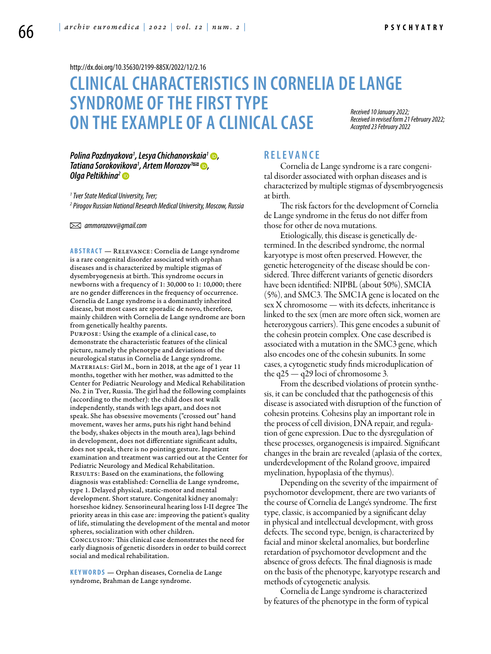<http://dx.doi.org/10.35630/2199-885X/2022/12/2.16>

# **CLINICAL CHARACTERISTICS IN CORNELIA DE LANGE SYNDROME OF THE FIRST TYPE ON THEEXAMPLE OF A CLINICAL CASE** *Received 10 January 2022; Accepted 23 February 2022*

*Received in revised form 21 February 2022;* 

### *Polina Pozdnyakova1 , [Lesya Chichanovskaia](https://orcid.org/0000-0002-3808-4866)1 , Tatiana Sorokovikova1 , [Artem Morozov](https://orcid.org/0000-0003-4213-5379)1 , [Olga Peltikhina](https://orcid.org/0000-0003-4555-0439 )2*

*1 Tver State Medical University, Tver;* 

*2 Pirogov Russian National Research Medical University, Moscow, Russia*

 *ammorozovv@gmail.com* 

**Abstract** — Relevance: Cornelia de Lange syndrome is a rare congenital disorder associated with orphan diseases and is characterized by multiple stigmas of dysembryogenesis at birth. This syndrome occurs in newborns with a frequency of 1: 30,000 to 1: 10,000; there are no gender differences in the frequency of occurrence. Cornelia de Lange syndrome is a dominantly inherited disease, but most cases are sporadic de novo, therefore, mainly children with Cornelia de Lange syndrome are born from genetically healthy parents. Purpose: Using the example of a clinical case, to demonstrate the characteristic features of the clinical picture, namely the phenotype and deviations of the neurological status in Cornelia de Lange syndrome. Materials: Girl M., born in 2018, at the age of 1 year 11 months, together with her mother, was admitted to the Center for Pediatric Neurology and Medical Rehabilitation No. 2 in Tver, Russia. The girl had the following complaints (according to the mother): the child does not walk independently, stands with legs apart, and does not speak. She has obsessive movements ("crossed out" hand movement, waves her arms, puts his right hand behind the body, shakes objects in the mouth area), lags behind in development, does not differentiate significant adults, does not speak, there is no pointing gesture. Inpatient examination and treatment was carried out at the Center for Pediatric Neurology and Medical Rehabilitation. RESULTS: Based on the examinations, the following diagnosis was established: Cornellia de Lange syndrome, type 1. Delayed physical, static-motor and mental development. Short stature. Congenital kidney anomaly: horseshoe kidney. Sensorineural hearing loss I-II degree The priority areas in this case are: improving the patient's quality of life, stimulating the development of the mental and motor spheres, socialization with other children. Conclusion: This clinical case demonstrates the need for early diagnosis of genetic disorders in order to build correct social and medical rehabilitation.

**K eywords** — Orphan diseases, Cornelia de Lange syndrome, Brahman de Lange syndrome.

### **R ele va n ce**

Cornelia de Lange syndrome is a rare congenital disorder associated with orphan diseases and is characterized by multiple stigmas of dysembryogenesis at birth.

The risk factors for the development of Cornelia de Lange syndrome in the fetus do not differ from those for other de nova mutations.

Etiologically, this disease is genetically determined. In the described syndrome, the normal karyotype is most often preserved. However, the genetic heterogeneity of the disease should be considered. Three different variants of genetic disorders have been identified: NIPBL (about 50%), SMCIA (5%), and SMC3. The SMC1A gene is located on the sex X chromosome — with its defects, inheritance is linked to the sex (men are more often sick, women are heterozygous carriers). This gene encodes a subunit of the cohesin protein complex. One case described is associated with a mutation in the SMC3 gene, which also encodes one of the cohesin subunits. In some cases, a cytogenetic study finds microduplication of the q25 — q29 loci of chromosome 3.

From the described violations of protein synthesis, it can be concluded that the pathogenesis of this disease is associated with disruption of the function of cohesin proteins. Cohesins play an important role in the process of cell division, DNA repair, and regulation of gene expression. Due to the dysregulation of these processes, organogenesis is impaired. Significant changes in the brain are revealed (aplasia of the cortex, underdevelopment of the Roland groove, impaired myelination, hypoplasia of the thymus).

Depending on the severity of the impairment of psychomotor development, there are two variants of the course of Cornelia de Lange's syndrome. The first type, classic, is accompanied by a significant delay in physical and intellectual development, with gross defects. The second type, benign, is characterized by facial and minor skeletal anomalies, but borderline retardation of psychomotor development and the absence of gross defects. The final diagnosis is made on the basis of the phenotype, karyotype research and methods of cytogenetic analysis.

Cornelia de Lange syndrome is characterized by features of the phenotype in the form of typical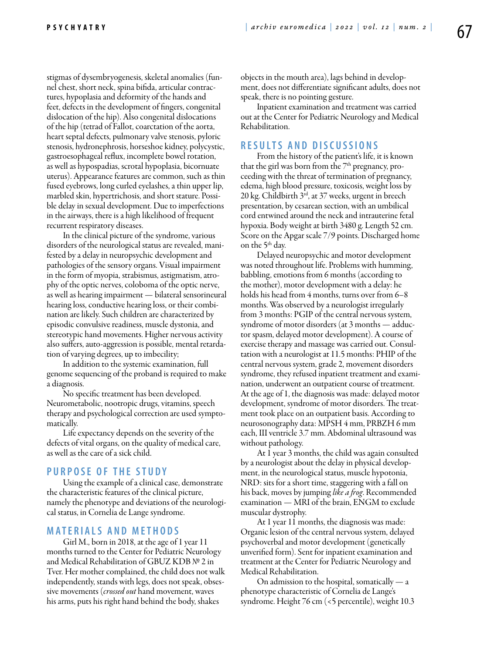stigmas of dysembryogenesis, skeletal anomalies (funnel chest, short neck, spina bifida, articular contractures, hypoplasia and deformity of the hands and feet, defects in the development of fingers, congenital dislocation of the hip). Also congenital dislocations of the hip (tetrad of Fallot, coarctation of the aorta, heart septal defects, pulmonary valve stenosis, pyloric stenosis, hydronephrosis, horseshoe kidney, polycystic, gastroesophageal reflux, incomplete bowel rotation, as well as hypospadias, scrotal hypoplasia, bicornuate uterus). Appearance features are common, such as thin fused eyebrows, long curled eyelashes, a thin upper lip, marbled skin, hypertrichosis, and short stature. Possible delay in sexual development. Due to imperfections in the airways, there is a high likelihood of frequent recurrent respiratory diseases.

In the clinical picture of the syndrome, various disorders of the neurological status are revealed, manifested by a delay in neuropsychic development and pathologies of the sensory organs. Visual impairment in the form of myopia, strabismus, astigmatism, atrophy of the optic nerves, coloboma of the optic nerve, as well as hearing impairment — bilateral sensorineural hearing loss, conductive hearing loss, or their combination are likely. Such children are characterized by episodic convulsive readiness, muscle dystonia, and stereotypic hand movements. Higher nervous activity also suffers, auto-aggression is possible, mental retardation of varying degrees, up to imbecility;

In addition to the systemic examination, full genome sequencing of the proband is required to make a diagnosis.

No specific treatment has been developed. Neurometabolic, nootropic drugs, vitamins, speech therapy and psychological correction are used symptomatically.

Life expectancy depends on the severity of the defects of vital organs, on the quality of medical care, as well as the care of a sick child.

### **PURPOSE OF THE STUDY**

Using the example of a clinical case, demonstrate the characteristic features of the clinical picture, namely the phenotype and deviations of the neurological status, in Cornelia de Lange syndrome.

## **MATERIALS AND METHODS**

Girl M., born in 2018, at the age of 1 year 11 months turned to the Center for Pediatric Neurology and Medical Rehabilitation of GBUZ KDB № 2 in Tver. Her mother complained, the child does not walk independently, stands with legs, does not speak, obsessive movements (*crossed out* hand movement, waves his arms, puts his right hand behind the body, shakes

objects in the mouth area), lags behind in development, does not differentiate significant adults, does not speak, there is no pointing gesture.

Inpatient examination and treatment was carried out at the Center for Pediatric Neurology and Medical Rehabilitation.

### **R e s ult s a n d D iscu s si o n s**

From the history of the patient's life, it is known that the girl was born from the  $7<sup>th</sup>$  pregnancy, proceeding with the threat of termination of pregnancy, edema, high blood pressure, toxicosis, weight loss by 20 kg. Childbirth 3rd, at 37 weeks, urgent in breech presentation, by cesarean section, with an umbilical cord entwined around the neck and intrauterine fetal hypoxia. Body weight at birth 3480 g. Length 52 cm. Score on the Apgar scale 7/9 points. Discharged home on the  $5<sup>th</sup>$  day.

Delayed neuropsychic and motor development was noted throughout life. Problems with humming, babbling, emotions from 6 months (according to the mother), motor development with a delay: he holds his head from 4 months, turns over from 6–8 months. Was observed by a neurologist irregularly from 3 months: PGIP of the central nervous system, syndrome of motor disorders (at 3 months — adductor spasm, delayed motor development). A course of exercise therapy and massage was carried out. Consultation with a neurologist at 11.5 months: PHIP of the central nervous system, grade 2, movement disorders syndrome, they refused inpatient treatment and examination, underwent an outpatient course of treatment. At the age of 1, the diagnosis was made: delayed motor development, syndrome of motor disorders. The treatment took place on an outpatient basis. According to neurosonography data: MPSH 4 mm, PRBZH 6 mm each, III ventricle 3.7 mm. Abdominal ultrasound was without pathology.

At 1 year 3 months, the child was again consulted by a neurologist about the delay in physical development, in the neurological status, muscle hypotonia, NRD: sits for a short time, staggering with a fall on his back, moves by jumping *like a frog*. Recommended examination — MRI of the brain, ENGM to exclude muscular dystrophy.

At 1 year 11 months, the diagnosis was made: Organic lesion of the central nervous system, delayed psychoverbal and motor development (genetically unverified form). Sent for inpatient examination and treatment at the Center for Pediatric Neurology and Medical Rehabilitation.

On admission to the hospital, somatically  $-$  a phenotype characteristic of Cornelia de Lange's syndrome. Height 76 cm (<5 percentile), weight 10.3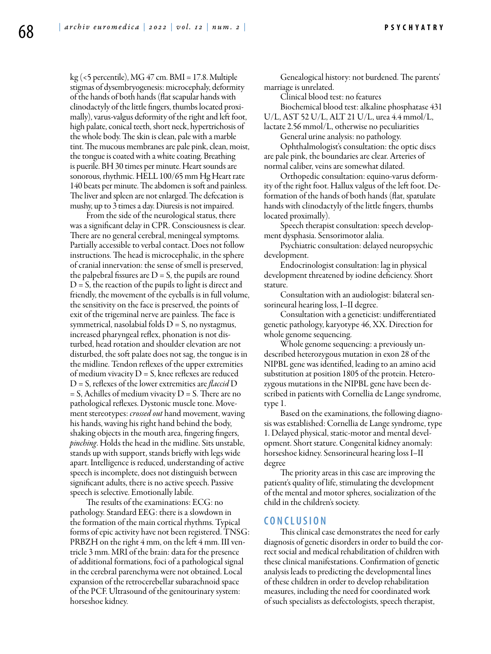$kg$  (<5 percentile), MG 47 cm. BMI = 17.8. Multiple stigmas of dysembryogenesis: microcephaly, deformity of the hands of both hands (flat scapular hands with clinodactyly of the little fingers, thumbs located proximally), varus-valgus deformity of the right and left foot, high palate, conical teeth, short neck, hypertrichosis of the whole body. The skin is clean, pale with a marble tint. The mucous membranes are pale pink, clean, moist, the tongue is coated with a white coating. Breathing is puerile. BH 30 times per minute. Heart sounds are sonorous, rhythmic. HELL 100/65 mm Hg Heart rate 140 beats per minute. The abdomen is soft and painless. The liver and spleen are not enlarged. The defecation is mushy, up to 3 times a day. Diuresis is not impaired.

From the side of the neurological status, there was a significant delay in CPR. Consciousness is clear. There are no general cerebral, meningeal symptoms. Partially accessible to verbal contact. Does not follow instructions. The head is microcephalic, in the sphere of cranial innervation: the sense of smell is preserved, the palpebral fissures are  $D = S$ , the pupils are round  $D = S$ , the reaction of the pupils to light is direct and friendly, the movement of the eyeballs is in full volume, the sensitivity on the face is preserved, the points of exit of the trigeminal nerve are painless. The face is symmetrical, nasolabial folds  $D = S$ , no nystagmus, increased pharyngeal reflex, phonation is not disturbed, head rotation and shoulder elevation are not disturbed, the soft palate does not sag, the tongue is in the midline. Tendon reflexes of the upper extremities of medium vivacity  $D = S$ , knee reflexes are reduced D = S, reflexes of the lower extremities are *flaccid* D  $=$  S, Achilles of medium vivacity D  $=$  S. There are no pathological reflexes. Dystonic muscle tone. Movement stereotypes: *crossed out* hand movement, waving his hands, waving his right hand behind the body, shaking objects in the mouth area, fingering fingers, *pinching*. Holds the head in the midline. Sits unstable, stands up with support, stands briefly with legs wide apart. Intelligence is reduced, understanding of active speech is incomplete, does not distinguish between significant adults, there is no active speech. Passive speech is selective. Emotionally labile.

The results of the examinations: ECG: no pathology. Standard EEG: there is a slowdown in the formation of the main cortical rhythms. Typical forms of epic activity have not been registered. TNSG: PRBZH on the right 4 mm, on the left 4 mm. III ventricle 3 mm. MRI of the brain: data for the presence of additional formations, foci of a pathological signal in the cerebral parenchyma were not obtained. Local expansion of the retrocerebellar subarachnoid space of the PCF. Ultrasound of the genitourinary system: horseshoe kidney.

Genealogical history: not burdened. The parents' marriage is unrelated.

Clinical blood test: no features

Biochemical blood test: alkaline phosphatase 431 U/L, AST 52 U/L, ALT 21 U/L, urea 4.4 mmol/L, lactate 2.56 mmol/L, otherwise no peculiarities

General urine analysis: no pathology.

Ophthalmologist's consultation: the optic discs are pale pink, the boundaries are clear. Arteries of normal caliber, veins are somewhat dilated.

Orthopedic consultation: equino-varus deformity of the right foot. Hallux valgus of the left foot. Deformation of the hands of both hands (flat, spatulate hands with clinodactyly of the little fingers, thumbs located proximally).

Speech therapist consultation: speech development dysphasia. Sensorimotor alalia.

Psychiatric consultation: delayed neuropsychic development.

Endocrinologist consultation: lag in physical development threatened by iodine deficiency. Short stature.

Consultation with an audiologist: bilateral sensorineural hearing loss, I–II degree.

Consultation with a geneticist: undifferentiated genetic pathology, karyotype 46, XX. Direction for whole genome sequencing.

Whole genome sequencing: a previously undescribed heterozygous mutation in exon 28 of the NIPBL gene was identified, leading to an amino acid substitution at position 1805 of the protein. Heterozygous mutations in the NIPBL gene have been described in patients with Cornellia de Lange syndrome, type 1.

Based on the examinations, the following diagnosis was established: Cornellia de Lange syndrome, type 1. Delayed physical, static-motor and mental development. Short stature. Congenital kidney anomaly: horseshoe kidney. Sensorineural hearing loss I–II degree

The priority areas in this case are improving the patient's quality of life, stimulating the development of the mental and motor spheres, socialization of the child in the children's society.

### **C o n clu si o n**

This clinical case demonstrates the need for early diagnosis of genetic disorders in order to build the correct social and medical rehabilitation of children with these clinical manifestations. Confirmation of genetic analysis leads to predicting the developmental lines of these children in order to develop rehabilitation measures, including the need for coordinated work of such specialists as defectologists, speech therapist,